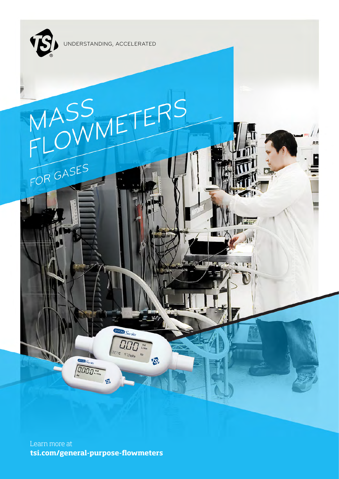

FOR GASES

UNDERSTANDING, ACCELERATED

# Learn more at

4000 Series

 $27c$  973 kp<sub>a</sub> Air

**B** 

**tsi.com/general-purpose-flowmeters**

 $\begin{picture}(130,10) \put(0,0){\line(1,0){15}} \put(15,0){\line(1,0){15}} \put(15,0){\line(1,0){15}} \put(15,0){\line(1,0){15}} \put(15,0){\line(1,0){15}} \put(15,0){\line(1,0){15}} \put(15,0){\line(1,0){15}} \put(15,0){\line(1,0){15}} \put(15,0){\line(1,0){15}} \put(15,0){\line(1,0){15}} \put(15,0){\line(1,0){15}} \put(15,0){\line($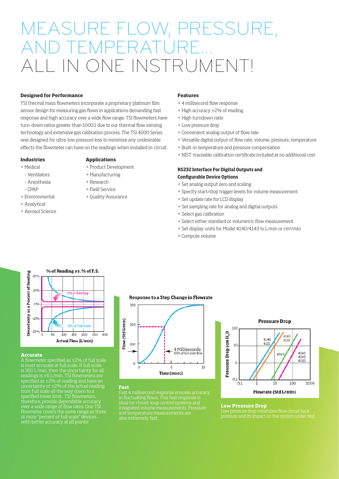## MEASURE FLOW, PRESSURE, **ND TEMPERATUR** IN ONE INSTRUMENT!

#### **Designed for Performance**

TSI thermal mass flowmeters incorporate a proprietary platinum film sensor design for measuring gas flows in applications demanding fast response and high accuracy over a wide flow range. TSI flowmeters have turn-down ratios greater than 1000:1 due to our thermal flow sensing technology and extensive gas calibration process. The TSI 4000 Series was designed for ultra-low pressure loss to minimize any undesirable effects the flowmeter can have on the readings when installed in-circuit.

**Applications**

+ Product Development + Manufacturing + Research + Field Service + Quality Assurance

#### **Industries**

- + Medical
- Ventilators
- Anesthesia
- CPAP
- + Environmental
- + Analytical
- + Aerosol Science

#### **Features** + 4 millisecond flow response

- + High accuracy ±2% of reading
- + High turndown ratio
- + Low pressure drop
- + Convenient analog output of flow rate
- + Versatile digital output of flow rate, volume, pressure, temperature
- + Built-in temperature and pressure compensation
- + NIST-traceable calibration certificate included at no additional cost

#### **RS232 Interface For Digital Outputs and Configurable Device Options**

- + Set analog output zero and scaling
- + Specify start/stop trigger levels for volume measurement
- + Set update rate for LCD display
- + Set sampling rate for analog and digital outputs
- + Select gas calibration
- + Select either standard or volumetric flow measurement
- + Set display units for Model 4140/4143 to L/min or cm3/min
- + Compute volume



#### **Accurate**

A flowmeter specified as ±2% of full scale is most accurate at full scale. If full scale is 300 L/min, then the uncertainty for all readings is ±6 L/min. TSI flowmeters are specified as ±2% of reading and have an uncertainty of ±2% of the actual reading from full scale all the way down to a specified lower limit. TSI flowmeters, therefore, provide dependable accuracy over a wide range of flow rates. One TSI flowmeter covers the same range as three or more "percent of full scale" devices...

#### **Response to a Step Change in Flowrate**



Fast 4 millisecond response ensures accuracy in fluctuating flows. This fast response is ideal for closed-loop control systems and integrated volume measurements. Pressure

**Fast**



#### **Low Pressure Drop**

pressure and its impact on the system under test.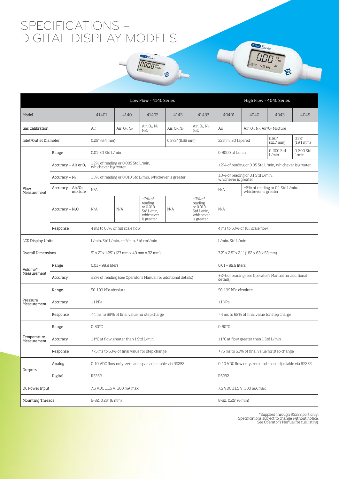### SPECIFICATIONS – DIGITAL DISPLAY MODELS

|                            |                                | Low Flow - 4140 Series                                                |                    |                                                                          |                     |                                                                          | High Flow - 4040 Series                                                  |                                                          |                                 |                                 |  |
|----------------------------|--------------------------------|-----------------------------------------------------------------------|--------------------|--------------------------------------------------------------------------|---------------------|--------------------------------------------------------------------------|--------------------------------------------------------------------------|----------------------------------------------------------|---------------------------------|---------------------------------|--|
| Model                      |                                | 41401                                                                 | 4140               | 41403                                                                    | 4143                | 41433                                                                    | 40401                                                                    | 4040                                                     | 4043                            | 4045                            |  |
| <b>Gas Calibration</b>     |                                | Air                                                                   | Air, $O_2$ , $N_2$ | Air, $O_2$ , $N_2$<br>N <sub>2</sub> O                                   | Air, $O_2$ , $N_2$  | Air, $O_2$ , $N_2$<br>N <sub>2</sub> O                                   | Air<br>Air, O <sub>2</sub> , N <sub>2</sub> , Air/O <sub>2</sub> Mixture |                                                          |                                 |                                 |  |
| Inlet/Outlet Diameter      |                                | $0.25''$ (6.4 mm)                                                     |                    |                                                                          | $0.375''$ (9.53 mm) |                                                                          | 22 mm ISO tapered                                                        |                                                          | 0.50''<br>$(12.7 \, \text{mm})$ | 0.75''<br>$(19.1 \, \text{mm})$ |  |
| Flow<br>Measurement        | Range                          | 0.01-20 Std L/min                                                     |                    |                                                                          |                     |                                                                          | 0-300 Std<br>0-200 Std<br>0-300 Std L/min<br>L/min<br>L/min              |                                                          |                                 |                                 |  |
|                            | Accuracy – Air or $O_2$        | ±2% of reading or 0.005 Std L/min,<br>whichever is greater            |                    |                                                                          |                     |                                                                          | ±2% of reading or 0.05 Std L/min, whichever is greater                   |                                                          |                                 |                                 |  |
|                            | Accuracy – $N_2$               | ±3% of reading or 0.010 Std L/min, whichever is greater               |                    |                                                                          |                     |                                                                          | ±3% of reading or 0.1 Std L/min,<br>whichever is greater                 |                                                          |                                 |                                 |  |
|                            | Accuracy – $Air/O2$<br>mixture | N/A                                                                   |                    |                                                                          |                     |                                                                          | N/A                                                                      | ±3% of reading or 0.1 Std L/min,<br>whichever is greater |                                 |                                 |  |
|                            | Accuracy $-N2O$                | N/A                                                                   | N/A                | $±3%$ of<br>reading<br>or 0.010<br>Std L/min,<br>whichever<br>is greater | N/A                 | $±3%$ of<br>reading<br>or 0.010<br>Std L/min,<br>whichever<br>is greater | N/A                                                                      |                                                          |                                 |                                 |  |
|                            | Response                       | 4 ms to 63% of full scale flow                                        |                    |                                                                          |                     |                                                                          | 4 ms to 63% of full scale flow                                           |                                                          |                                 |                                 |  |
| <b>LCD Display Units</b>   |                                | L/min, Std L/min, cm3/min, Std cm3/min                                |                    |                                                                          |                     |                                                                          | L/min, Std L/min                                                         |                                                          |                                 |                                 |  |
| Overall Dimensions         |                                | $5'' \times 2'' \times 1.25''$ (127 mm $\times$ 49 mm $\times$ 32 mm) |                    |                                                                          |                     |                                                                          | $7.2'' \times 2.5'' \times 2.1''$ (182 $\times$ 63 $\times$ 53 mm)       |                                                          |                                 |                                 |  |
| Volume*<br>Measurement     | Range                          | 0.01 - 99.9 liters                                                    |                    |                                                                          |                     |                                                                          | 0.01 - 99.9 liters                                                       |                                                          |                                 |                                 |  |
|                            | Accuracy                       | ±2% of reading (see Operator's Manual for additional details)         |                    |                                                                          |                     |                                                                          | ±2% of reading (see Operator's Manual for additional<br>details)         |                                                          |                                 |                                 |  |
| Pressure<br>Measurement    | Range                          | 50-199 kPa absolute                                                   |                    |                                                                          |                     |                                                                          | 50-199 kPa absolute                                                      |                                                          |                                 |                                 |  |
|                            | Accuracy                       | $±1$ kPa                                                              |                    |                                                                          |                     |                                                                          | $±1$ kPa                                                                 |                                                          |                                 |                                 |  |
|                            | Response                       | <4 ms to 63% of final value for step charge                           |                    |                                                                          |                     |                                                                          | <4 ms to 63% of final value for step charge                              |                                                          |                                 |                                 |  |
| Temperature<br>Measurement | Range                          | 0-50°C                                                                |                    |                                                                          |                     |                                                                          | $0-50$ °C                                                                |                                                          |                                 |                                 |  |
|                            | Accuracy                       | ±1°C at flow greater than 1 Std L/min                                 |                    |                                                                          |                     |                                                                          | $\pm 1$ °C at flow greater than 1 Std L/min                              |                                                          |                                 |                                 |  |
|                            | Response                       | <75 ms to 63% of final value for step change                          |                    |                                                                          |                     |                                                                          | <75 ms to 63% of final value for step change                             |                                                          |                                 |                                 |  |
| Outputs                    | Analog                         | 0-10 VDC flow only, zero and span adjustable via RS232                |                    |                                                                          |                     |                                                                          | 0-10 VDC flow only, zero and span adjustable via RS232                   |                                                          |                                 |                                 |  |
|                            | Digital                        | <b>RS232</b>                                                          |                    |                                                                          |                     |                                                                          | <b>RS232</b>                                                             |                                                          |                                 |                                 |  |
| DC Power Input             |                                | 7.5 VDC ±1.5 V, 300 mA max                                            |                    |                                                                          |                     |                                                                          | 7.5 VDC ±1.5 V, 300 mA max                                               |                                                          |                                 |                                 |  |
| Mounting Threads           |                                | 6-32, 0.25" (6 mm)                                                    |                    |                                                                          |                     |                                                                          | 8-32, 0.25" (6 mm)                                                       |                                                          |                                 |                                 |  |

**DODD** State

 $\overline{\mathcal{B}}$ 3

\*Supplied through RS232 port only. Specifications subject to change without notice. See Operator's Manual for full listing.

4000 Series

 $\overline{\iiint\limits_{\partial \partial \gamma_{C}} \sum\limits_{q} \sum\limits_{q} \sum\limits_{q} \sum\limits_{q} \sum\limits_{q} \sum\limits_{q} \sum\limits_{q} \sum\limits_{q} \sum\limits_{q} \sum\limits_{q} \sum\limits_{q} \sum\limits_{q} \sum\limits_{q} \sum\limits_{q} \sum\limits_{q} \sum\limits_{q} \sum\limits_{q} \sum\limits_{q} \sum\limits_{q} \sum\limits_{q} \sum\limits_{q} \sum\limits_{q} \sum\limits_{q} \sum\limits_{q} \sum\limits_{q} \sum\limits_{q} \sum\limits_{q} \sum\limits_{q} \sum\limits_{q$ 

 $\overline{\mathcal{B}}$